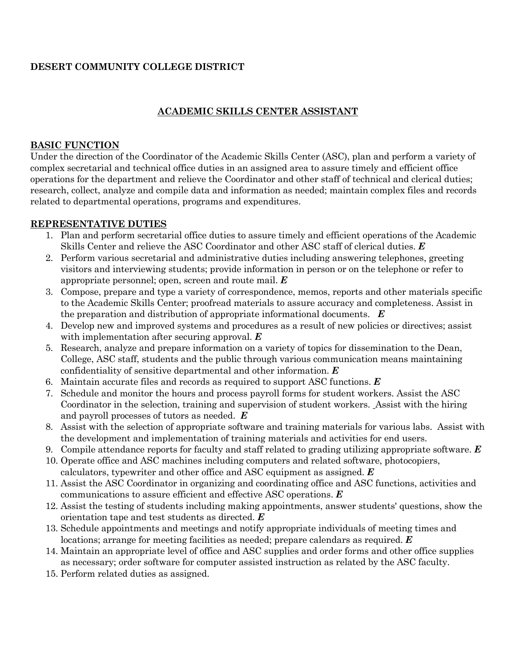# **DESERT COMMUNITY COLLEGE DISTRICT**

## **ACADEMIC SKILLS CENTER ASSISTANT**

#### **BASIC FUNCTION**

Under the direction of the Coordinator of the Academic Skills Center (ASC), plan and perform a variety of complex secretarial and technical office duties in an assigned area to assure timely and efficient office operations for the department and relieve the Coordinator and other staff of technical and clerical duties; research, collect, analyze and compile data and information as needed; maintain complex files and records related to departmental operations, programs and expenditures.

#### **REPRESENTATIVE DUTIES**

- 1. Plan and perform secretarial office duties to assure timely and efficient operations of the Academic Skills Center and relieve the ASC Coordinator and other ASC staff of clerical duties. *E*
- 2. Perform various secretarial and administrative duties including answering telephones, greeting visitors and interviewing students; provide information in person or on the telephone or refer to appropriate personnel; open, screen and route mail. *E*
- 3. Compose, prepare and type a variety of correspondence, memos, reports and other materials specific to the Academic Skills Center; proofread materials to assure accuracy and completeness. Assist in the preparation and distribution of appropriate informational documents. *E*
- 4. Develop new and improved systems and procedures as a result of new policies or directives; assist with implementation after securing approval. *E*
- 5. Research, analyze and prepare information on a variety of topics for dissemination to the Dean, College, ASC staff, students and the public through various communication means maintaining confidentiality of sensitive departmental and other information. *E*
- 6. Maintain accurate files and records as required to support ASC functions. *E*
- 7. Schedule and monitor the hours and process payroll forms for student workers. Assist the ASC Coordinator in the selection, training and supervision of student workers. Assist with the hiring and payroll processes of tutors as needed. *E*
- 8. Assist with the selection of appropriate software and training materials for various labs. Assist with the development and implementation of training materials and activities for end users.
- 9. Compile attendance reports for faculty and staff related to grading utilizing appropriate software. *E*
- 10. Operate office and ASC machines including computers and related software, photocopiers, calculators, typewriter and other office and ASC equipment as assigned. *E*
- 11. Assist the ASC Coordinator in organizing and coordinating office and ASC functions, activities and communications to assure efficient and effective ASC operations. *E*
- 12. Assist the testing of students including making appointments, answer students' questions, show the orientation tape and test students as directed. *E*
- 13. Schedule appointments and meetings and notify appropriate individuals of meeting times and locations; arrange for meeting facilities as needed; prepare calendars as required. *E*
- 14. Maintain an appropriate level of office and ASC supplies and order forms and other office supplies as necessary; order software for computer assisted instruction as related by the ASC faculty.
- 15. Perform related duties as assigned.